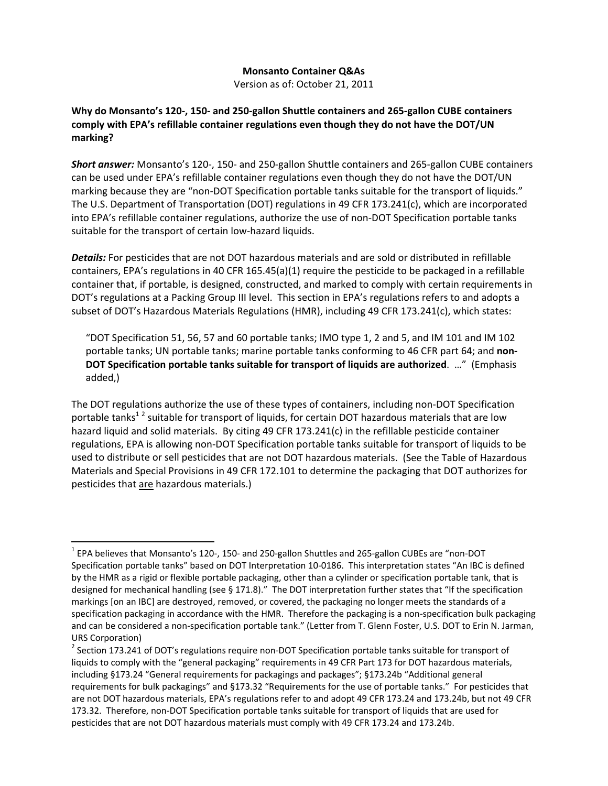## **Monsanto Container Q&As**

Version as of: October 21, 2011

## Why do Monsanto's 120-, 150- and 250-gallon Shuttle containers and 265-gallon CUBE containers **comply with EPA's refillable container regulations even though they do not have the DOT/UN marking?**

*Short answer:* Monsanto's 120‐, 150‐ and 250‐gallon Shuttle containers and 265‐gallon CUBE containers can be used under EPA's refillable container regulations even though they do not have the DOT/UN marking because they are "non-DOT Specification portable tanks suitable for the transport of liquids." The U.S. Department of Transportation (DOT) regulations in 49 CFR 173.241(c), which are incorporated into EPA's refillable container regulations, authorize the use of non‐DOT Specification portable tanks suitable for the transport of certain low-hazard liquids.

*Details:* For pesticides that are not DOT hazardous materials and are sold or distributed in refillable containers, EPA's regulations in 40 CFR 165.45(a)(1) require the pesticide to be packaged in a refillable container that, if portable, is designed, constructed, and marked to comply with certain requirements in DOT's regulations at a Packing Group III level. This section in EPA's regulations refers to and adopts a subset of DOT's Hazardous Materials Regulations (HMR), including 49 CFR 173.241(c), which states:

"DOT Specification 51, 56, 57 and 60 portable tanks; IMO type 1, 2 and 5, and IM 101 and IM 102 portable tanks; UN portable tanks; marine portable tanks conforming to 46 CFR part 64; and **non‐ DOT Specification portable tanks suitable for transport of liquids are authorized**. …" (Emphasis added,)

The DOT regulations authorize the use of these types of containers, including non‐DOT Specification portable tanks<sup>12</sup> suitable for transport of liquids, for certain DOT hazardous materials that are low hazard liquid and solid materials. By citing 49 CFR 173.241(c) in the refillable pesticide container regulations, EPA is allowing non‐DOT Specification portable tanks suitable for transport of liquids to be used to distribute or sell pesticides that are not DOT hazardous materials. (See the Table of Hazardous Materials and Special Provisions in 49 CFR 172.101 to determine the packaging that DOT authorizes for pesticides that are hazardous materials.)

<sup>1</sup> EPA believes that Monsanto's 120‐, 150‐ and 250‐gallon Shuttles and 265‐gallon CUBEs are "non‐DOT Specification portable tanks" based on DOT Interpretation 10‐0186. This interpretation states "An IBC is defined by the HMR as a rigid or flexible portable packaging, other than a cylinder or specification portable tank, that is designed for mechanical handling (see § 171.8)." The DOT interpretation further states that "If the specification markings [on an IBC] are destroyed, removed, or covered, the packaging no longer meets the standards of a specification packaging in accordance with the HMR. Therefore the packaging is a non-specification bulk packaging and can be considered a non‐specification portable tank." (Letter from T. Glenn Foster, U.S. DOT to Erin N. Jarman,

URS Corporation)<br><sup>2</sup> Section 173.241 of DOT's regulations require non-DOT Specification portable tanks suitable for transport of liquids to comply with the "general packaging" requirements in 49 CFR Part 173 for DOT hazardous materials, including §173.24 "General requirements for packagings and packages"; §173.24b "Additional general requirements for bulk packagings" and §173.32 "Requirements for the use of portable tanks." For pesticides that are not DOT hazardous materials, EPA's regulations refer to and adopt 49 CFR 173.24 and 173.24b, but not 49 CFR 173.32. Therefore, non‐DOT Specification portable tanks suitable for transport of liquids that are used for pesticides that are not DOT hazardous materials must comply with 49 CFR 173.24 and 173.24b.